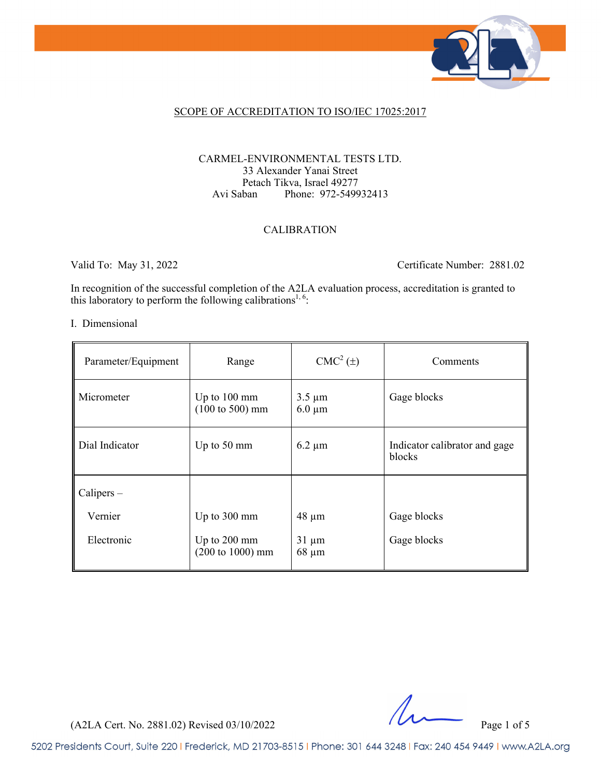

### SCOPE OF ACCREDITATION TO ISO/IEC 17025:2017

### CARMEL-ENVIRONMENTAL TESTS LTD. 33 Alexander Yanai Street Petach Tikva, Israel 49277 Avi Saban Phone: 972-549932413

### CALIBRATION

Valid To: May 31, 2022 Certificate Number: 2881.02

In recognition of the successful completion of the A2LA evaluation process, accreditation is granted to this laboratory to perform the following calibrations<sup>1, 6</sup>:

#### I. Dimensional

| Parameter/Equipment | Range                                                         | $CMC2(\pm)$                | Comments                                |
|---------------------|---------------------------------------------------------------|----------------------------|-----------------------------------------|
| Micrometer          | Up to $100 \text{ mm}$<br>$(100 \text{ to } 500) \text{ mm}$  | $3.5 \mu m$<br>$6.0 \mu m$ | Gage blocks                             |
| Dial Indicator      | Up to 50 mm                                                   | $6.2 \mu m$                | Indicator calibrator and gage<br>blocks |
| Calipers –          |                                                               |                            |                                         |
| Vernier             | Up to 300 mm                                                  | $48 \mu m$                 | Gage blocks                             |
| Electronic          | Up to $200 \text{ mm}$<br>$(200 \text{ to } 1000) \text{ mm}$ | $31 \mu m$<br>$68 \mu m$   | Gage blocks                             |

(A2LA Cert. No. 2881.02) Revised 03/10/2022 Page 1 of 5

5202 Presidents Court, Suite 220 | Frederick, MD 21703-8515 | Phone: 301 644 3248 | Fax: 240 454 9449 | www.A2LA.org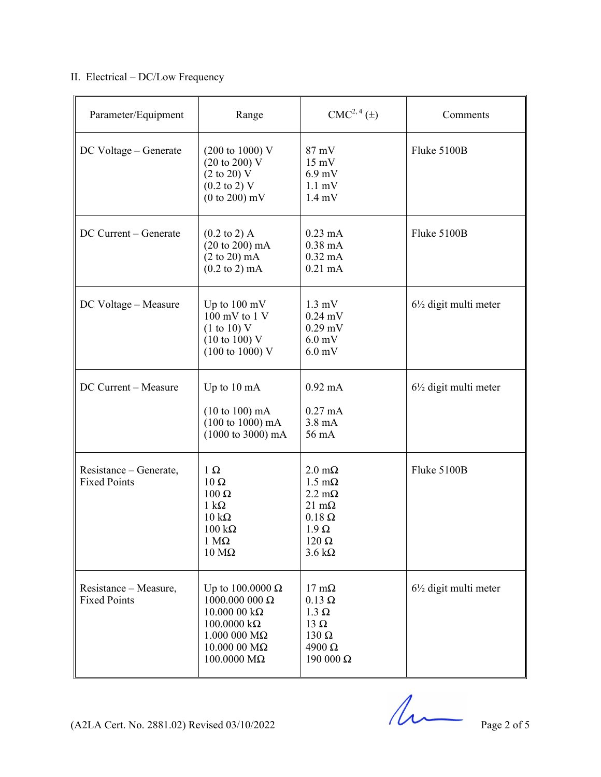# II. Electrical – DC/Low Frequency

| Parameter/Equipment                           | Range                                                                                                                                                             | CMC <sup>2, 4</sup> (±)                                                                                                                                         | Comments                         |
|-----------------------------------------------|-------------------------------------------------------------------------------------------------------------------------------------------------------------------|-----------------------------------------------------------------------------------------------------------------------------------------------------------------|----------------------------------|
| DC Voltage - Generate                         | $(200 \text{ to } 1000) \text{ V}$<br>(20 to 200) V<br>$(2 \text{ to } 20)$ V<br>$(0.2 \text{ to } 2) \text{ V}$<br>$(0 to 200)$ mV                               | 87 mV<br>$15 \text{ mV}$<br>$6.9$ mV<br>$1.1 \text{ mV}$<br>$1.4 \text{ mV}$                                                                                    | Fluke 5100B                      |
| DC Current - Generate                         | $(0.2 \text{ to } 2)$ A<br>(20 to 200) mA<br>$(2 \text{ to } 20) \text{ mA}$<br>$(0.2 \text{ to } 2) \text{ mA}$                                                  | $0.23 \text{ mA}$<br>$0.38$ mA<br>$0.32 \text{ mA}$<br>$0.21$ mA                                                                                                | Fluke 5100B                      |
| DC Voltage - Measure                          | Up to $100 \text{ mV}$<br>$100 \text{ mV}$ to $1 \text{V}$<br>(1 to 10) V<br>$(10 \text{ to } 100)$ V<br>$(100 \text{ to } 1000) \text{ V}$                       | $1.3 \text{ mV}$<br>$0.24$ mV<br>$0.29$ mV<br>$6.0$ mV<br>$6.0$ mV                                                                                              | $6\frac{1}{2}$ digit multi meter |
| DC Current - Measure                          | Up to 10 mA<br>$(10 to 100)$ mA<br>$(100 \text{ to } 1000) \text{ mA}$<br>$(1000 \text{ to } 3000) \text{ mA}$                                                    | $0.92 \text{ mA}$<br>$0.27 \text{ mA}$<br>$3.8 \text{ mA}$<br>56 mA                                                                                             | $6\frac{1}{2}$ digit multi meter |
| Resistance – Generate,<br><b>Fixed Points</b> | $1 \Omega$<br>$10 \Omega$<br>100 Ω<br>$1 \text{ k}\Omega$<br>$10 \text{ k}\Omega$<br>$100 \text{ k}\Omega$<br>$1 M\Omega$<br>$10 \text{ M}\Omega$                 | $2.0 \text{ m}\Omega$<br>$1.5 \text{ mA}$<br>$2.2 \text{ m}\Omega$<br>$21 \text{ mA}$<br>$0.18 \Omega$<br>$1.9 \Omega$<br>$120 \Omega$<br>$3.6 \text{ k}\Omega$ | Fluke 5100B                      |
| Resistance – Measure,<br><b>Fixed Points</b>  | Up to $100.0000 \Omega$<br>1000.000 000 $\Omega$<br>$10.000000k\Omega$<br>$100.0000 k\Omega$<br>$1.000$ 000 M $\Omega$<br>$10.000$ 00 M $\Omega$<br>$100.0000$ ΜΩ | $17 \text{ mA}$<br>$0.13 \Omega$<br>$1.3 \Omega$<br>13 $\Omega$<br>$130 \Omega$<br>$4900 \Omega$<br>190 000 Ω                                                   | $6\frac{1}{2}$ digit multi meter |

 $(A2LA$  Cert. No. 2881.02) Revised 03/10/2022 Page 2 of 5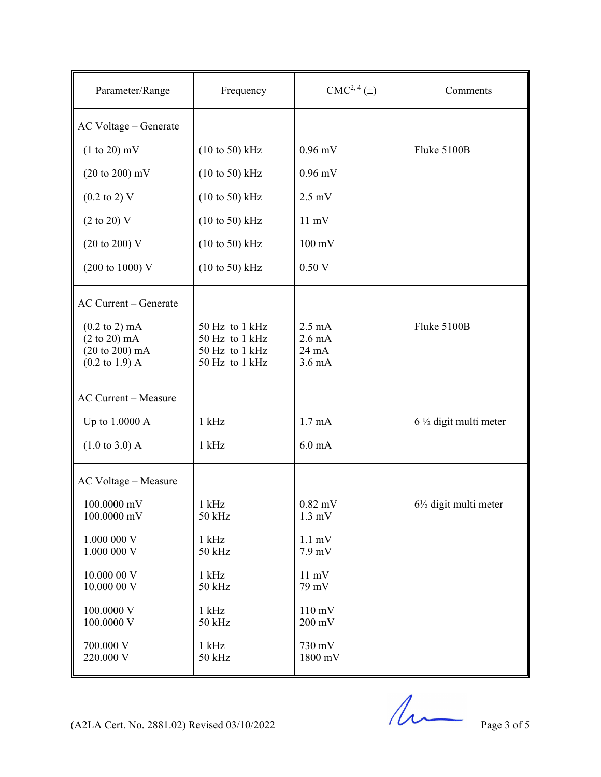| Parameter/Range                                                                                                            | Frequency                                                            | CMC <sup>2, 4</sup> (±)                                           | Comments                         |
|----------------------------------------------------------------------------------------------------------------------------|----------------------------------------------------------------------|-------------------------------------------------------------------|----------------------------------|
| AC Voltage - Generate                                                                                                      |                                                                      |                                                                   |                                  |
| $(1 to 20)$ mV                                                                                                             | $(10 \text{ to } 50)$ kHz                                            | $0.96$ mV                                                         | Fluke 5100B                      |
| $(20 \text{ to } 200) \text{ mV}$                                                                                          | $(10 \text{ to } 50)$ kHz                                            | $0.96$ mV                                                         |                                  |
| $(0.2 \text{ to } 2) \text{ V}$                                                                                            | $(10 \text{ to } 50)$ kHz                                            | $2.5 \text{ mV}$                                                  |                                  |
| $(2 \text{ to } 20)$ V                                                                                                     | $(10 \text{ to } 50)$ kHz                                            | $11 \text{ mV}$                                                   |                                  |
| $(20 \text{ to } 200) \text{ V}$                                                                                           | $(10 \text{ to } 50)$ kHz                                            | $100 \text{ mV}$                                                  |                                  |
| $(200 \text{ to } 1000) \text{ V}$                                                                                         | $(10 \text{ to } 50)$ kHz                                            | 0.50V                                                             |                                  |
| AC Current - Generate                                                                                                      |                                                                      |                                                                   |                                  |
| $(0.2 \text{ to } 2) \text{ mA}$<br>$(2 \text{ to } 20) \text{ mA}$<br>(20 to 200) mA<br>$(0.2 \text{ to } 1.9) \text{ A}$ | 50 Hz to 1 kHz<br>50 Hz to 1 kHz<br>50 Hz to 1 kHz<br>50 Hz to 1 kHz | $2.5 \text{ mA}$<br>$2.6 \text{ mA}$<br>24 mA<br>$3.6 \text{ mA}$ | Fluke 5100B                      |
| <b>AC Current - Measure</b>                                                                                                |                                                                      |                                                                   |                                  |
| Up to 1.0000 A                                                                                                             | $1$ kHz                                                              | 1.7 <sub>mA</sub>                                                 | $6\frac{1}{2}$ digit multi meter |
| $(1.0 \text{ to } 3.0)$ A                                                                                                  | $1$ kHz                                                              | $6.0 \text{ mA}$                                                  |                                  |
| AC Voltage - Measure                                                                                                       |                                                                      |                                                                   |                                  |
| 100.0000 mV<br>100.0000 mV                                                                                                 | $1$ kHz<br>50 kHz                                                    | $0.82$ mV<br>$1.3 \text{ mV}$                                     | $6\frac{1}{2}$ digit multi meter |
| 1.000 000 V<br>1.000 000 V                                                                                                 | $1$ kHz<br>50 kHz                                                    | $1.1 \text{ mV}$<br>$7.9$ mV                                      |                                  |
| 10.000 00 V<br>10.000 00 V                                                                                                 | $1$ kHz<br>50 kHz                                                    | $11 \text{ mV}$<br>79 mV                                          |                                  |
| 100.0000 V<br>100.0000 V                                                                                                   | $1$ kHz<br>50 kHz                                                    | $110 \text{ mV}$<br>$200 \text{ mV}$                              |                                  |
| 700.000 V<br>220.000 V                                                                                                     | $1$ kHz<br>50 kHz                                                    | 730 mV<br>1800 mV                                                 |                                  |

(A2LA Cert. No. 2881.02) Revised  $03/10/2022$  Page 3 of 5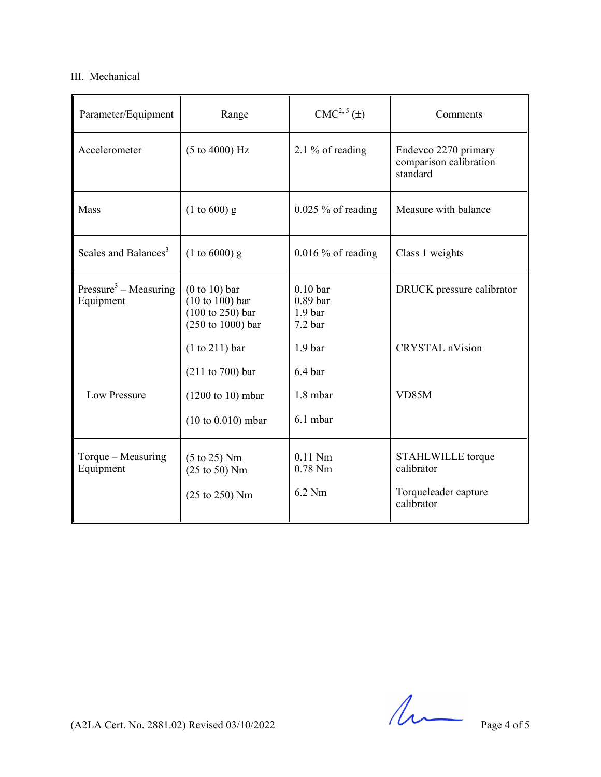# III. Mechanical

| Parameter/Equipment                            | Range                                                                                                                   | CMC <sup>2, 5</sup> (±)                                                                                      | Comments                                                              |
|------------------------------------------------|-------------------------------------------------------------------------------------------------------------------------|--------------------------------------------------------------------------------------------------------------|-----------------------------------------------------------------------|
| Accelerometer                                  | (5 to 4000) Hz                                                                                                          | 2.1 % of reading                                                                                             | Endevco 2270 primary<br>comparison calibration<br>standard            |
| Mass                                           | $(1 to 600)$ g                                                                                                          | $0.025\%$ of reading                                                                                         | Measure with balance                                                  |
| Scales and Balances <sup>3</sup>               | $(1 to 6000)$ g                                                                                                         | $0.016\%$ of reading                                                                                         | Class 1 weights                                                       |
| Pressure <sup>3</sup> – Measuring<br>Equipment | $(0 to 10)$ bar<br>$(10 to 100)$ bar<br>$(100 \text{ to } 250)$ bar<br>$(250 \text{ to } 1000)$ bar<br>$(1 to 211)$ bar | 0.10 <sub>bar</sub><br>0.89 <sub>bar</sub><br>1.9 <sub>bar</sub><br>7.2 <sub>bar</sub><br>1.9 <sub>bar</sub> | DRUCK pressure calibrator<br><b>CRYSTAL</b> nVision                   |
| Low Pressure                                   | (211 to 700) bar<br>$(1200 \text{ to } 10) \text{ mbar}$<br>$(10 to 0.010)$ mbar                                        | 6.4 <sub>bar</sub><br>1.8 mbar<br>6.1 mbar                                                                   | VD85M                                                                 |
| Torque $-$ Measuring<br>Equipment              | $(5 \text{ to } 25)$ Nm<br>$(25 \text{ to } 50)$ Nm<br>(25 to 250) Nm                                                   | $0.11$ Nm<br>$0.78$ Nm<br>6.2 Nm                                                                             | STAHLWILLE torque<br>calibrator<br>Torqueleader capture<br>calibrator |

 $(A2LA$  Cert. No. 2881.02) Revised 03/10/2022 Page 4 of 5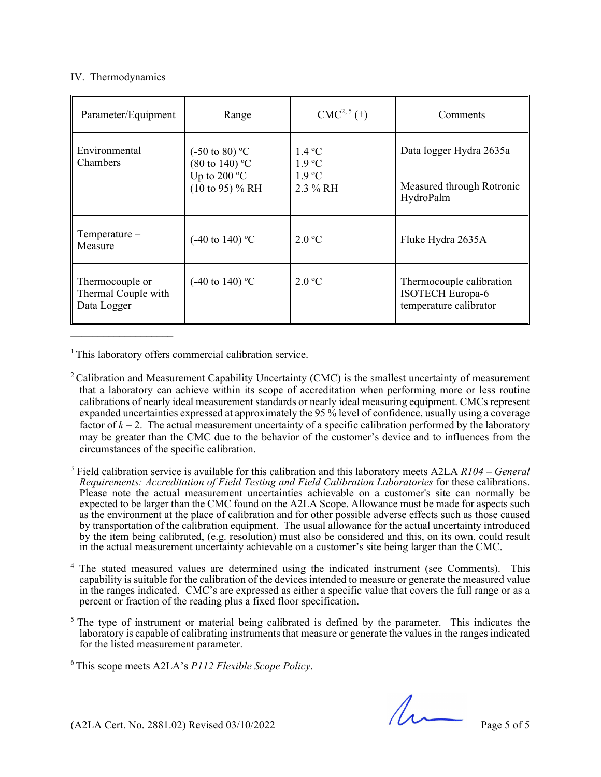## IV. Thermodynamics

| Parameter/Equipment                                   | Range                                                                                               | $CMC2, 5(\pm)$                                                     | Comments                                                                      |
|-------------------------------------------------------|-----------------------------------------------------------------------------------------------------|--------------------------------------------------------------------|-------------------------------------------------------------------------------|
| Environmental<br>Chambers                             | $(-50 \text{ to } 80)$ °C<br>$(80 \text{ to } 140)$ °C<br>Up to 200 $^{\circ}$ C<br>(10 to 95) % RH | $1.4\degree C$<br>$1.9 \text{ °C}$<br>$1.9 \text{ °C}$<br>2.3 % RH | Data logger Hydra 2635a<br>Measured through Rotronic<br>HydroPalm             |
| $Temperature-$<br>Measure                             | $(-40 \text{ to } 140)$ °C                                                                          | 2.0 °C                                                             | Fluke Hydra 2635A                                                             |
| Thermocouple or<br>Thermal Couple with<br>Data Logger | $(-40 \text{ to } 140)$ °C                                                                          | 2.0 °C                                                             | Thermocouple calibration<br><b>ISOTECH Europa-6</b><br>temperature calibrator |

<sup>1</sup> This laboratory offers commercial calibration service.

<sup>2</sup> Calibration and Measurement Capability Uncertainty (CMC) is the smallest uncertainty of measurement that a laboratory can achieve within its scope of accreditation when performing more or less routine calibrations of nearly ideal measurement standards or nearly ideal measuring equipment. CMCs represent expanded uncertainties expressed at approximately the 95 % level of confidence, usually using a coverage factor of  $k = 2$ . The actual measurement uncertainty of a specific calibration performed by the laboratory may be greater than the CMC due to the behavior of the customer's device and to influences from the circumstances of the specific calibration.

3 Field calibration service is available for this calibration and this laboratory meets A2LA *R104 – General Requirements: Accreditation of Field Testing and Field Calibration Laboratories* for these calibrations. Please note the actual measurement uncertainties achievable on a customer's site can normally be expected to be larger than the CMC found on the A2LA Scope. Allowance must be made for aspects such as the environment at the place of calibration and for other possible adverse effects such as those caused by transportation of the calibration equipment. The usual allowance for the actual uncertainty introduced by the item being calibrated, (e.g. resolution) must also be considered and this, on its own, could result in the actual measurement uncertainty achievable on a customer's site being larger than the CMC.

4 The stated measured values are determined using the indicated instrument (see Comments). This capability is suitable for the calibration of the devices intended to measure or generate the measured value in the ranges indicated. CMC's are expressed as either a specific value that covers the full range or as a percent or fraction of the reading plus a fixed floor specification.

<sup>5</sup> The type of instrument or material being calibrated is defined by the parameter. This indicates the laboratory is capable of calibrating instruments that measure or generate the values in the ranges indicated for the listed measurement parameter.

6 This scope meets A2LA's *P112 Flexible Scope Policy*.

 $(A2LA$  Cert. No. 2881.02) Revised 03/10/2022 Page 5 of 5